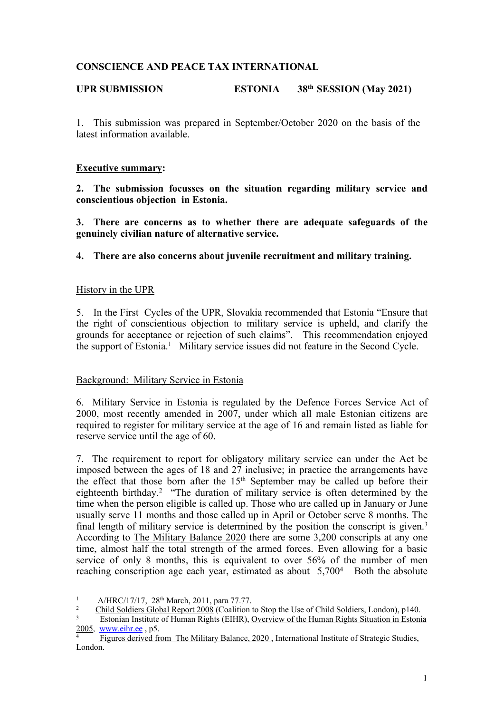# **CONSCIENCE AND PEACE TAX INTERNATIONAL**

#### **UPR SUBMISSION ESTONIA 38th SESSION (May 2021)**

1. This submission was prepared in September/October 2020 on the basis of the latest information available.

## **Executive summary:**

**2. The submission focusses on the situation regarding military service and conscientious objection in Estonia.**

**3. There are concerns as to whether there are adequate safeguards of the genuinely civilian nature of alternative service.**

**4. There are also concerns about juvenile recruitment and military training.**

## History in the UPR

5. In the First Cycles of the UPR, Slovakia recommended that Estonia "Ensure that the right of conscientious objection to military service is upheld, and clarify the grounds for acceptance or rejection of such claims". This recommendation enjoyed the suppor<sup>t</sup> of Estonia. <sup>1</sup> Military service issues did not feature in the Second Cycle.

#### Background: Military Service in Estonia

6. Military Service in Estonia is regulated by the Defence Forces Service Act of 2000, most recently amended in 2007, under which all male Estonian citizens are required to register for military service at the age of 16 and remain listed as liable for reserve service until the age of 60.

7. The requirement to repor<sup>t</sup> for obligatory military service can under the Act be imposed between the ages of 18 and 27 inclusive; in practice the arrangements have the effect that those born after the  $15<sup>th</sup>$  September may be called up before their eighteenth birthday. 2 "The duration of military service is often determined by the time when the person eligible is called up. Those who are called up in January or June usually serve 11 months and those called up in April or October serve 8 months. The final length of military service is determined by the position the conscript is given.<sup>3</sup> According to The Military Balance 2020 there are some 3,200 conscripts at any one time, almost half the total strength of the armed forces. Even allowing for <sup>a</sup> basic service of only 8 months, this is equivalent to over 56% of the number of men reaching conscription age each year, estimated as about  $5.700<sup>4</sup>$  Both the absolute

<sup>&</sup>lt;sup>1</sup> A/HRC/17/17,  $28<sup>th</sup>$  March,  $2011$ , para 77.77.<br><sup>2</sup> Child Soldiers Global Benort  $2008$  (Coalition)

<sup>2</sup> Child Soldiers Global Report 2008 (Coalition to Stop the Use of Child Soldiers, London), <sup>p</sup>140.

<sup>3</sup> Estonian Institute of Human Rights (EIHR), Overview of the Human Rights Situation in Estonia 2005, [www.eihr.ee](http://www.eihr.ee/) , p5.

<sup>4</sup> Figures derived from The Military Balance, 2020 , International Institute of Strategic Studies, London.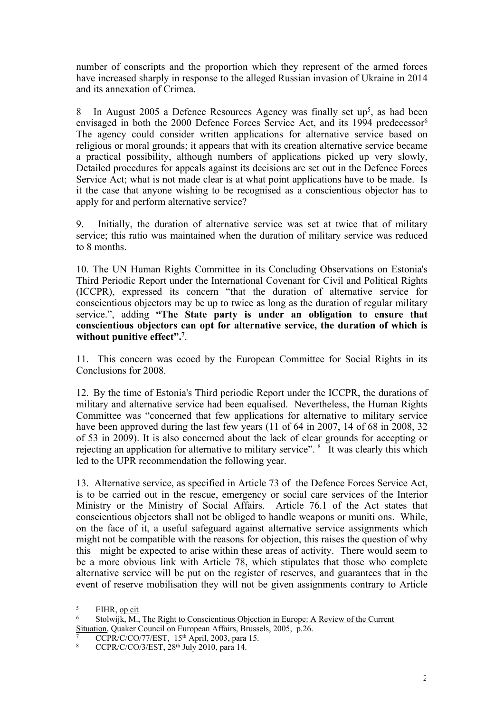number of conscripts and the proportion which they represen<sup>t</sup> of the armed forces have increased sharply in response to the alleged Russian invasion of Ukraine in 2014 and its annexation of Crimea.

8 In August 2005 a Defence Resources Agency was finally set up<sup>5</sup>, as had been envisaged in both the 2000 Defence Forces Service Act, and its 1994 predecessor 6 The agency could consider written applications for alternative service based on religious or moral grounds; it appears that with its creation alternative service became <sup>a</sup> practical possibility, although numbers of applications picked up very slowly, Detailed procedures for appeals against its decisions are set out in the Defence Forces Service Act; what is not made clear is at what point applications have to be made. Is it the case that anyone wishing to be recognised as <sup>a</sup> conscientious objector has to apply for and perform alternative service?

9. Initially, the duration of alternative service was set at twice that of military service; this ratio was maintained when the duration of military service was reduced to 8 months.

10. The UN Human Rights Committee in its Concluding Observations on Estonia's Third Periodic Report under the International Covenant for Civil and Political Rights (ICCPR), expressed its concern "that the duration of alternative service for conscientious objectors may be up to twice as long as the duration of regular military service.", adding **"The State party is under an obligation to ensure that conscientious objectors can opt for alternative service, the duration of which is without punitive effect". 7** .

11. This concern was ecoed by the European Committee for Social Rights in its Conclusions for 2008.

12. By the time of Estonia's Third periodic Report under the ICCPR, the durations of military and alternative service had been equalised. Nevertheless, the Human Rights Committee was "concerned that few applications for alternative to military service have been approved during the last few years (11 of 64 in 2007, 14 of 68 in 2008, 32 of 53 in 2009). It is also concerned about the lack of clear grounds for accepting or rejecting an application for alternative to military service". <sup>8</sup> It was clearly this which led to the UPR recommendation the following year.

13. Alternative service, as specified in Article 73 of the Defence Forces Service Act, is to be carried out in the rescue, emergency or social care services of the Interior Ministry or the Ministry of Social Affairs. Article 76.1 of the Act states that conscientious objectors shall not be obliged to handle weapons or muniti ons. While, on the face of it, <sup>a</sup> useful safeguard against alternative service assignments which might not be compatible with the reasons for objection, this raises the question of why this might be expected to arise within these areas of activity. There would seem to be <sup>a</sup> more obvious link with Article 78, which stipulates that those who complete alternative service will be pu<sup>t</sup> on the register of reserves, and guarantees that in the event of reserve mobilisation they will not be given assignments contrary to Article

<sup>5</sup> EIHR, op cit

<sup>6</sup> Stolwijk, M., The Right to Conscientious Objection in Europe: A Review of the Current Situation, Quaker Council on European Affairs, Brussels, 2005, p.26.

 $\frac{7}{7}$  CCPR/C/CO/77/EST, 15<sup>th</sup> April, 2003, para 15.

<sup>&</sup>lt;sup>8</sup> CCPR/C/CO/3/EST,  $28<sup>th</sup>$  July 2010, para 14.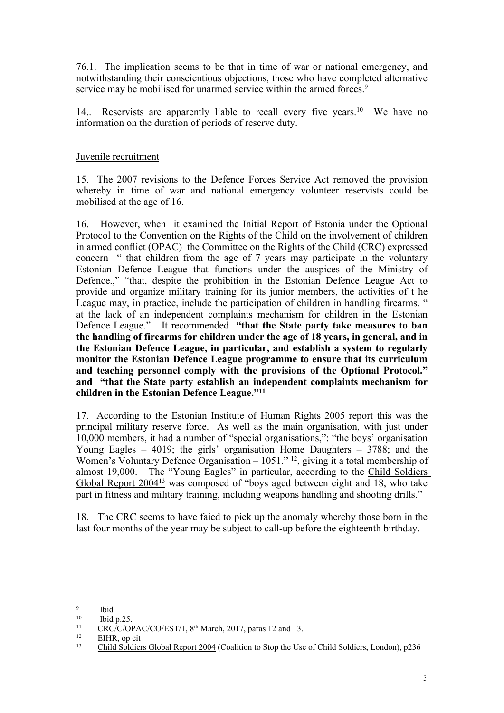76.1. The implication seems to be that in time of war or national emergency, and notwithstanding their conscientious objections, those who have completed alternative service may be mobilised for unarmed service within the armed forces.<sup>9</sup>

14.. Reservists are apparently liable to recall every five years.<sup>10</sup> We have no information on the duration of periods of reserve duty.

# Juvenile recruitment

15. The 2007 revisions to the Defence Forces Service Act removed the provision whereby in time of war and national emergency volunteer reservists could be mobilised at the age of 16.

16. However, when it examined the Initial Report of Estonia under the Optional Protocol to the Convention on the Rights of the Child on the involvement of children in armed conflict (OPAC) the Committee on the Rights of the Child (CRC) expressed concern " that children from the age of 7 years may participate in the voluntary Estonian Defence League that functions under the auspices of the Ministry of Defence.," "that, despite the prohibition in the Estonian Defence League Act to provide and organize military training for its junior members, the activities of <sup>t</sup> he League may, in practice, include the participation of children in handling firearms. " at the lack of an independent complaints mechanism for children in the Estonian Defence League." It recommended **"that the State party take measures to ban the handling of firearms for children under the age of 18 years, in general, and in the Estonian Defence League, in particular, and establish <sup>a</sup> system to regularly monitor the Estonian Defence League programme to ensure that its curriculum and teaching personnel comply with the provisions of the Optional Protocol." and "that the State party establish an independent complaints mechanism for children in the Estonian Defence League."<sup>11</sup>**

17. According to the Estonian Institute of Human Rights 2005 repor<sup>t</sup> this was the principal military reserve force. As well as the main organisation, with just under 10,000 members, it had <sup>a</sup> number of "special organisations,": "the boys' organisation Young Eagles – 4019; the girls' organisation Home Daughters – 3788; and the Women's Voluntary Defence Organisation – 1051." <sup>12</sup>, giving it a total membership of almost 19,000. The "Young Eagles" in particular, according to the Child Soldiers Global Report 2004<sup>13</sup> was composed of "boys aged between eight and 18, who take par<sup>t</sup> in fitness and military training, including weapons handling and shooting drills."

18. The CRC seems to have faied to pick up the anomaly whereby those born in the last four months of the year may be subject to call-up before the eighteenth birthday.

<sup>9</sup> Ibid

<sup>10</sup> Ibid p.25.

 $11$  CRC/C/OPAC/CO/EST/1, 8<sup>th</sup> March, 2017, paras 12 and 13.

<sup>12</sup> EIHR, op cit

<sup>&</sup>lt;sup>13</sup> Child Soldiers Global Report 2004 (Coalition to Stop the Use of Child Soldiers, London), p236